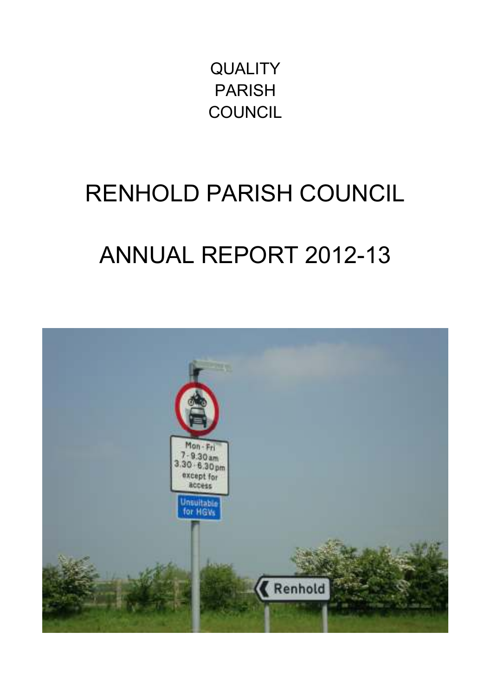**QUALITY** PARISH **COUNCIL** 

## RENHOLD PARISH COUNCIL

# ANNUAL REPORT 2012-13

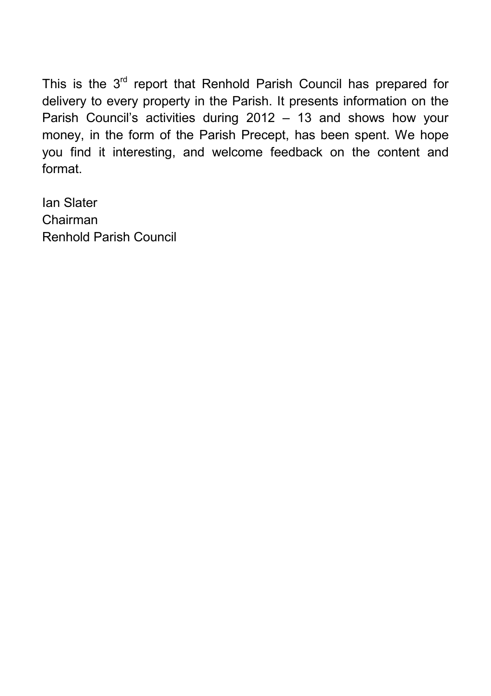This is the  $3<sup>rd</sup>$  report that Renhold Parish Council has prepared for delivery to every property in the Parish. It presents information on the Parish Council's activities during 2012 – 13 and shows how your money, in the form of the Parish Precept, has been spent. We hope you find it interesting, and welcome feedback on the content and format.

Ian Slater Chairman Renhold Parish Council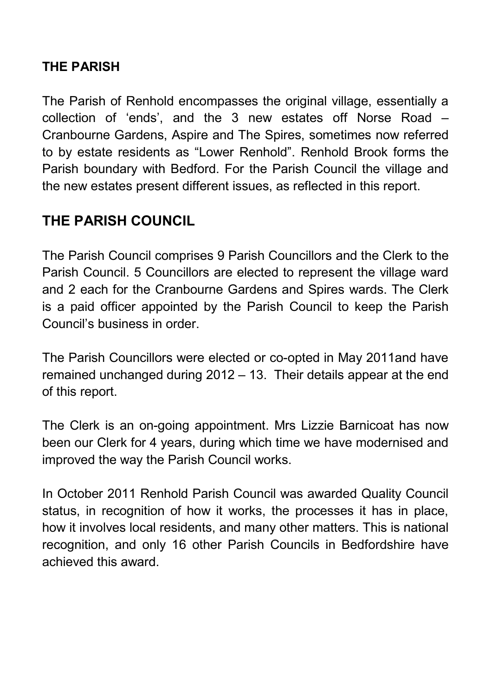#### **THE PARISH**

The Parish of Renhold encompasses the original village, essentially a collection of 'ends', and the 3 new estates off Norse Road – Cranbourne Gardens, Aspire and The Spires, sometimes now referred to by estate residents as "Lower Renhold". Renhold Brook forms the Parish boundary with Bedford. For the Parish Council the village and the new estates present different issues, as reflected in this report.

#### **THE PARISH COUNCIL**

The Parish Council comprises 9 Parish Councillors and the Clerk to the Parish Council. 5 Councillors are elected to represent the village ward and 2 each for the Cranbourne Gardens and Spires wards. The Clerk is a paid officer appointed by the Parish Council to keep the Parish Council's business in order.

The Parish Councillors were elected or co-opted in May 2011and have remained unchanged during 2012 – 13. Their details appear at the end of this report.

The Clerk is an on-going appointment. Mrs Lizzie Barnicoat has now been our Clerk for 4 years, during which time we have modernised and improved the way the Parish Council works.

In October 2011 Renhold Parish Council was awarded Quality Council status, in recognition of how it works, the processes it has in place, how it involves local residents, and many other matters. This is national recognition, and only 16 other Parish Councils in Bedfordshire have achieved this award.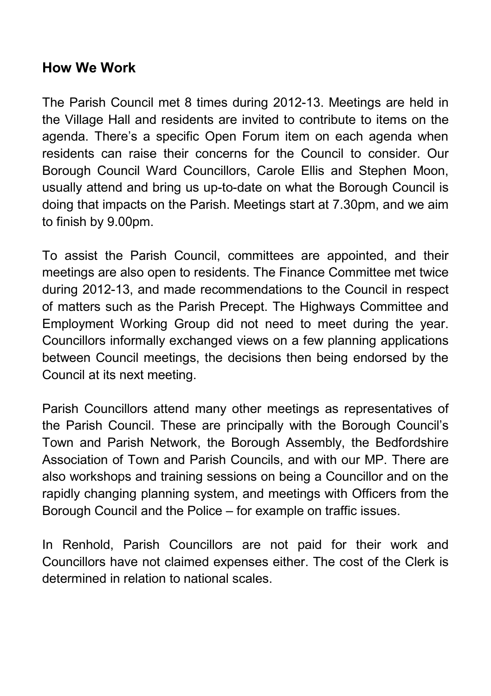#### **How We Work**

The Parish Council met 8 times during 2012-13. Meetings are held in the Village Hall and residents are invited to contribute to items on the agenda. There's a specific Open Forum item on each agenda when residents can raise their concerns for the Council to consider. Our Borough Council Ward Councillors, Carole Ellis and Stephen Moon, usually attend and bring us up-to-date on what the Borough Council is doing that impacts on the Parish. Meetings start at 7.30pm, and we aim to finish by 9.00pm.

To assist the Parish Council, committees are appointed, and their meetings are also open to residents. The Finance Committee met twice during 2012-13, and made recommendations to the Council in respect of matters such as the Parish Precept. The Highways Committee and Employment Working Group did not need to meet during the year. Councillors informally exchanged views on a few planning applications between Council meetings, the decisions then being endorsed by the Council at its next meeting.

Parish Councillors attend many other meetings as representatives of the Parish Council. These are principally with the Borough Council's Town and Parish Network, the Borough Assembly, the Bedfordshire Association of Town and Parish Councils, and with our MP. There are also workshops and training sessions on being a Councillor and on the rapidly changing planning system, and meetings with Officers from the Borough Council and the Police – for example on traffic issues.

In Renhold, Parish Councillors are not paid for their work and Councillors have not claimed expenses either. The cost of the Clerk is determined in relation to national scales.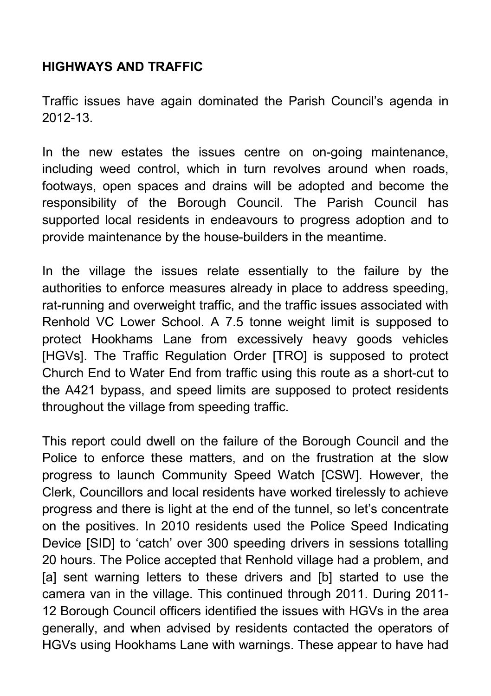#### **HIGHWAYS AND TRAFFIC**

Traffic issues have again dominated the Parish Council's agenda in 2012-13.

In the new estates the issues centre on on-going maintenance, including weed control, which in turn revolves around when roads, footways, open spaces and drains will be adopted and become the responsibility of the Borough Council. The Parish Council has supported local residents in endeavours to progress adoption and to provide maintenance by the house-builders in the meantime.

In the village the issues relate essentially to the failure by the authorities to enforce measures already in place to address speeding, rat-running and overweight traffic, and the traffic issues associated with Renhold VC Lower School. A 7.5 tonne weight limit is supposed to protect Hookhams Lane from excessively heavy goods vehicles [HGVs]. The Traffic Regulation Order [TRO] is supposed to protect Church End to Water End from traffic using this route as a short-cut to the A421 bypass, and speed limits are supposed to protect residents throughout the village from speeding traffic.

This report could dwell on the failure of the Borough Council and the Police to enforce these matters, and on the frustration at the slow progress to launch Community Speed Watch [CSW]. However, the Clerk, Councillors and local residents have worked tirelessly to achieve progress and there is light at the end of the tunnel, so let's concentrate on the positives. In 2010 residents used the Police Speed Indicating Device [SID] to 'catch' over 300 speeding drivers in sessions totalling 20 hours. The Police accepted that Renhold village had a problem, and [a] sent warning letters to these drivers and [b] started to use the camera van in the village. This continued through 2011. During 2011- 12 Borough Council officers identified the issues with HGVs in the area generally, and when advised by residents contacted the operators of HGVs using Hookhams Lane with warnings. These appear to have had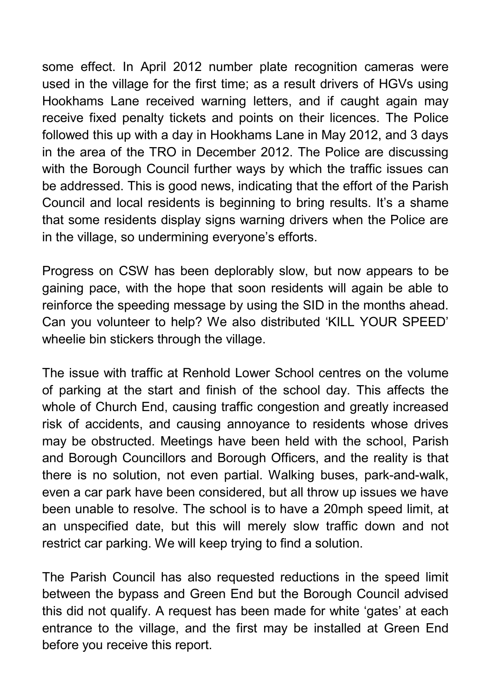some effect. In April 2012 number plate recognition cameras were used in the village for the first time; as a result drivers of HGVs using Hookhams Lane received warning letters, and if caught again may receive fixed penalty tickets and points on their licences. The Police followed this up with a day in Hookhams Lane in May 2012, and 3 days in the area of the TRO in December 2012. The Police are discussing with the Borough Council further ways by which the traffic issues can be addressed. This is good news, indicating that the effort of the Parish Council and local residents is beginning to bring results. It's a shame that some residents display signs warning drivers when the Police are in the village, so undermining everyone's efforts.

Progress on CSW has been deplorably slow, but now appears to be gaining pace, with the hope that soon residents will again be able to reinforce the speeding message by using the SID in the months ahead. Can you volunteer to help? We also distributed 'KILL YOUR SPEED' wheelie bin stickers through the village.

The issue with traffic at Renhold Lower School centres on the volume of parking at the start and finish of the school day. This affects the whole of Church End, causing traffic congestion and greatly increased risk of accidents, and causing annoyance to residents whose drives may be obstructed. Meetings have been held with the school, Parish and Borough Councillors and Borough Officers, and the reality is that there is no solution, not even partial. Walking buses, park-and-walk, even a car park have been considered, but all throw up issues we have been unable to resolve. The school is to have a 20mph speed limit, at an unspecified date, but this will merely slow traffic down and not restrict car parking. We will keep trying to find a solution.

The Parish Council has also requested reductions in the speed limit between the bypass and Green End but the Borough Council advised this did not qualify. A request has been made for white 'gates' at each entrance to the village, and the first may be installed at Green End before you receive this report.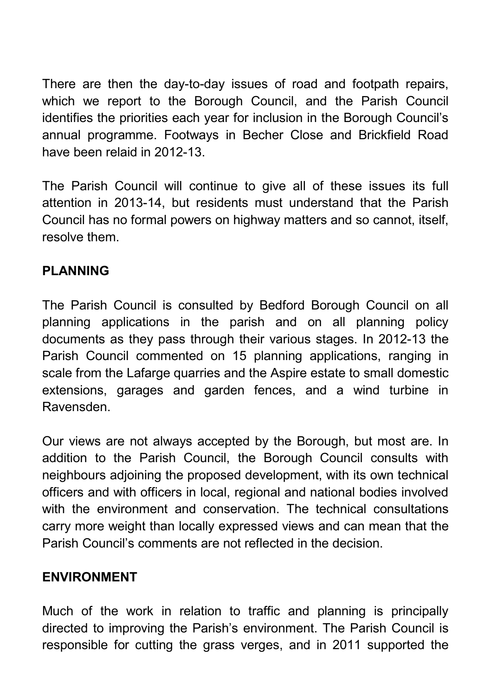There are then the day-to-day issues of road and footpath repairs, which we report to the Borough Council, and the Parish Council identifies the priorities each year for inclusion in the Borough Council's annual programme. Footways in Becher Close and Brickfield Road have been relaid in 2012-13.

The Parish Council will continue to give all of these issues its full attention in 2013-14, but residents must understand that the Parish Council has no formal powers on highway matters and so cannot, itself, resolve them.

#### **PLANNING**

The Parish Council is consulted by Bedford Borough Council on all planning applications in the parish and on all planning policy documents as they pass through their various stages. In 2012-13 the Parish Council commented on 15 planning applications, ranging in scale from the Lafarge quarries and the Aspire estate to small domestic extensions, garages and garden fences, and a wind turbine in Ravensden.

Our views are not always accepted by the Borough, but most are. In addition to the Parish Council, the Borough Council consults with neighbours adjoining the proposed development, with its own technical officers and with officers in local, regional and national bodies involved with the environment and conservation. The technical consultations carry more weight than locally expressed views and can mean that the Parish Council's comments are not reflected in the decision.

#### **ENVIRONMENT**

Much of the work in relation to traffic and planning is principally directed to improving the Parish's environment. The Parish Council is responsible for cutting the grass verges, and in 2011 supported the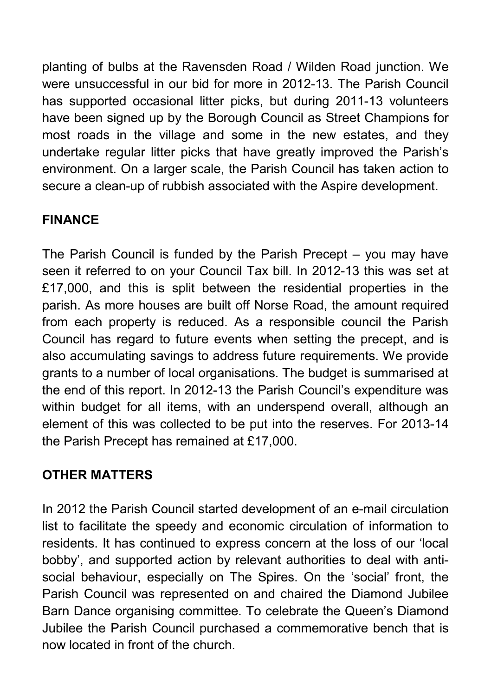planting of bulbs at the Ravensden Road / Wilden Road junction. We were unsuccessful in our bid for more in 2012-13. The Parish Council has supported occasional litter picks, but during 2011-13 volunteers have been signed up by the Borough Council as Street Champions for most roads in the village and some in the new estates, and they undertake regular litter picks that have greatly improved the Parish's environment. On a larger scale, the Parish Council has taken action to secure a clean-up of rubbish associated with the Aspire development.

#### **FINANCE**

The Parish Council is funded by the Parish Precept – you may have seen it referred to on your Council Tax bill. In 2012-13 this was set at £17,000, and this is split between the residential properties in the parish. As more houses are built off Norse Road, the amount required from each property is reduced. As a responsible council the Parish Council has regard to future events when setting the precept, and is also accumulating savings to address future requirements. We provide grants to a number of local organisations. The budget is summarised at the end of this report. In 2012-13 the Parish Council's expenditure was within budget for all items, with an underspend overall, although an element of this was collected to be put into the reserves. For 2013-14 the Parish Precept has remained at £17,000.

#### **OTHER MATTERS**

In 2012 the Parish Council started development of an e-mail circulation list to facilitate the speedy and economic circulation of information to residents. It has continued to express concern at the loss of our 'local bobby', and supported action by relevant authorities to deal with antisocial behaviour, especially on The Spires. On the 'social' front, the Parish Council was represented on and chaired the Diamond Jubilee Barn Dance organising committee. To celebrate the Queen's Diamond Jubilee the Parish Council purchased a commemorative bench that is now located in front of the church.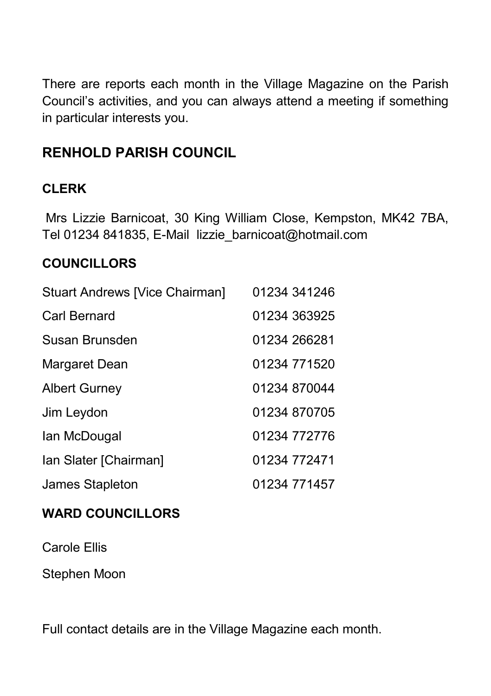There are reports each month in the Village Magazine on the Parish Council's activities, and you can always attend a meeting if something in particular interests you.

#### **RENHOLD PARISH COUNCIL**

#### **CLERK**

 Mrs Lizzie Barnicoat, 30 King William Close, Kempston, MK42 7BA, Tel 01234 841835, E-Mail lizzie\_barnicoat@hotmail.com

#### **COUNCILLORS**

| Stuart Andrews [Vice Chairman] | 01234 341246 |
|--------------------------------|--------------|
| Carl Bernard                   | 01234 363925 |
| Susan Brunsden                 | 01234 266281 |
| Margaret Dean                  | 01234 771520 |
| <b>Albert Gurney</b>           | 01234 870044 |
| Jim Leydon                     | 01234 870705 |
| Ian McDougal                   | 01234 772776 |
| Ian Slater [Chairman]          | 01234 772471 |
| James Stapleton                | 01234 771457 |

#### **WARD COUNCILLORS**

Carole Ellis

Stephen Moon

Full contact details are in the Village Magazine each month.